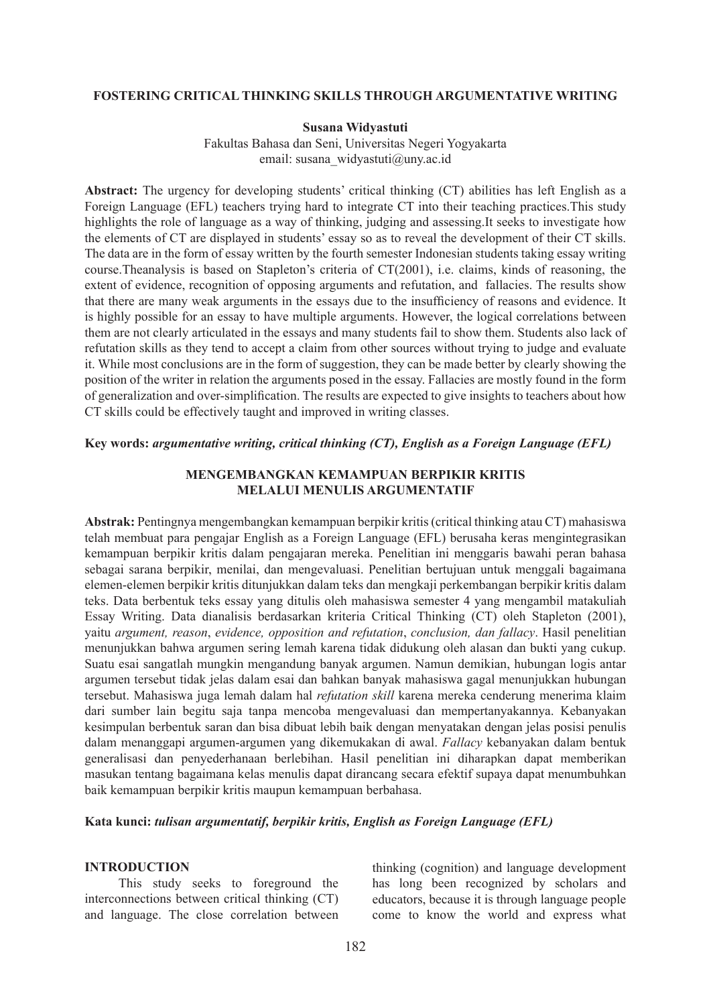#### **FOSTERING CRITICAL THINKING SKILLS THROUGH ARGUMENTATIVE WRITING**

#### **Susana Widyastuti**

Fakultas Bahasa dan Seni, Universitas Negeri Yogyakarta email: susana\_widyastuti@uny.ac.id

**Abstract:** The urgency for developing students' critical thinking (CT) abilities has left English as a Foreign Language (EFL) teachers trying hard to integrate CT into their teaching practices.This study highlights the role of language as a way of thinking, judging and assessing.It seeks to investigate how the elements of CT are displayed in students' essay so as to reveal the development of their CT skills. The data are in the form of essay written by the fourth semester Indonesian students taking essay writing course.Theanalysis is based on Stapleton's criteria of CT(2001), i.e. claims, kinds of reasoning, the extent of evidence, recognition of opposing arguments and refutation, and fallacies. The results show that there are many weak arguments in the essays due to the insufficiency of reasons and evidence. It is highly possible for an essay to have multiple arguments. However, the logical correlations between them are not clearly articulated in the essays and many students fail to show them. Students also lack of refutation skills as they tend to accept a claim from other sources without trying to judge and evaluate it. While most conclusions are in the form of suggestion, they can be made better by clearly showing the position of the writer in relation the arguments posed in the essay. Fallacies are mostly found in the form of generalization and over-simplification. The results are expected to give insights to teachers about how CT skills could be effectively taught and improved in writing classes.

#### **Key words:** *argumentative writing, critical thinking (CT), English as a Foreign Language (EFL)*

#### **MENGEMBANGKAN KEMAMPUAN BERPIKIR KRITIS MELALUI MENULIS ARGUMENTATIF**

**Abstrak:** Pentingnya mengembangkan kemampuan berpikir kritis (critical thinking atau CT) mahasiswa telah membuat para pengajar English as a Foreign Language (EFL) berusaha keras mengintegrasikan kemampuan berpikir kritis dalam pengajaran mereka. Penelitian ini menggaris bawahi peran bahasa sebagai sarana berpikir, menilai, dan mengevaluasi. Penelitian bertujuan untuk menggali bagaimana elemen-elemen berpikir kritis ditunjukkan dalam teks dan mengkaji perkembangan berpikir kritis dalam teks. Data berbentuk teks essay yang ditulis oleh mahasiswa semester 4 yang mengambil matakuliah Essay Writing. Data dianalisis berdasarkan kriteria Critical Thinking (CT) oleh Stapleton (2001), yaitu *argument, reason*, *evidence, opposition and refutation*, *conclusion, dan fallacy*. Hasil penelitian menunjukkan bahwa argumen sering lemah karena tidak didukung oleh alasan dan bukti yang cukup. Suatu esai sangatlah mungkin mengandung banyak argumen. Namun demikian, hubungan logis antar argumen tersebut tidak jelas dalam esai dan bahkan banyak mahasiswa gagal menunjukkan hubungan tersebut. Mahasiswa juga lemah dalam hal *refutation skill* karena mereka cenderung menerima klaim dari sumber lain begitu saja tanpa mencoba mengevaluasi dan mempertanyakannya. Kebanyakan kesimpulan berbentuk saran dan bisa dibuat lebih baik dengan menyatakan dengan jelas posisi penulis dalam menanggapi argumen-argumen yang dikemukakan di awal. *Fallacy* kebanyakan dalam bentuk generalisasi dan penyederhanaan berlebihan. Hasil penelitian ini diharapkan dapat memberikan masukan tentang bagaimana kelas menulis dapat dirancang secara efektif supaya dapat menumbuhkan baik kemampuan berpikir kritis maupun kemampuan berbahasa.

## **Kata kunci:** *tulisan argumentatif, berpikir kritis, English as Foreign Language (EFL)*

#### **INTRODUCTION**

This study seeks to foreground the interconnections between critical thinking (CT) and language. The close correlation between thinking (cognition) and language development has long been recognized by scholars and educators, because it is through language people come to know the world and express what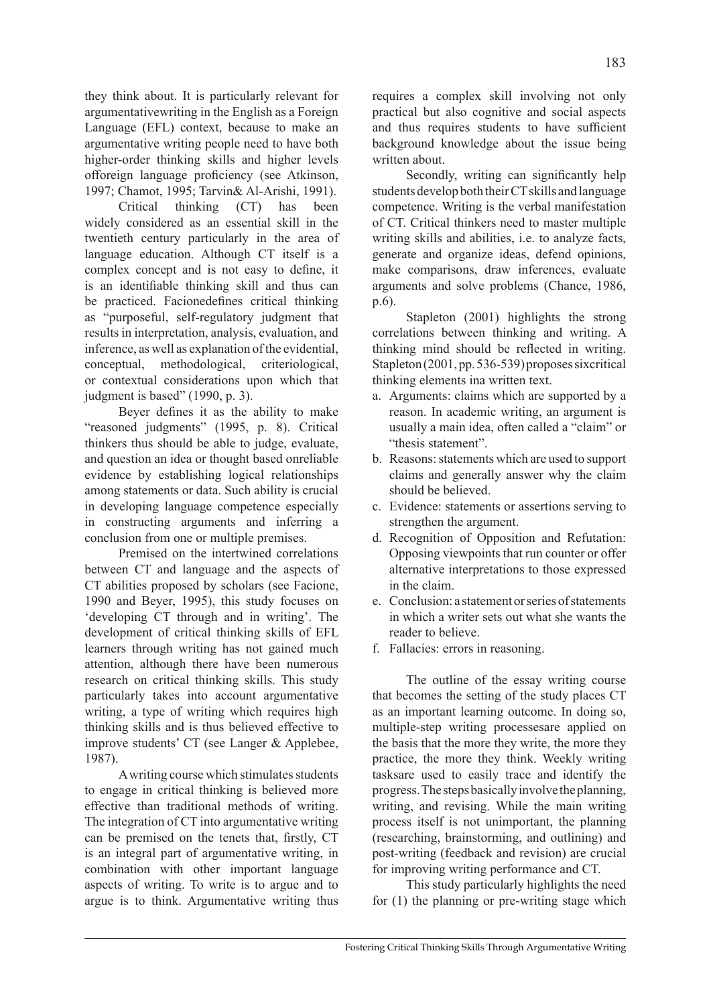they think about. It is particularly relevant for argumentativewriting in the English as a Foreign Language (EFL) context, because to make an argumentative writing people need to have both higher-order thinking skills and higher levels offoreign language proficiency (see Atkinson, 1997; Chamot, 1995; Tarvin& Al-Arishi, 1991).

Critical thinking (CT) has been widely considered as an essential skill in the twentieth century particularly in the area of language education. Although CT itself is a complex concept and is not easy to define, it is an identifiable thinking skill and thus can be practiced. Facionedefines critical thinking as "purposeful, self-regulatory judgment that results in interpretation, analysis, evaluation, and inference, as well as explanation of the evidential, conceptual, methodological, criteriological, or contextual considerations upon which that judgment is based" (1990, p. 3).

Beyer defines it as the ability to make "reasoned judgments" (1995, p. 8). Critical thinkers thus should be able to judge, evaluate, and question an idea or thought based onreliable evidence by establishing logical relationships among statements or data. Such ability is crucial in developing language competence especially in constructing arguments and inferring a conclusion from one or multiple premises.

Premised on the intertwined correlations between CT and language and the aspects of CT abilities proposed by scholars (see Facione, 1990 and Beyer, 1995), this study focuses on 'developing CT through and in writing'. The development of critical thinking skills of EFL learners through writing has not gained much attention, although there have been numerous research on critical thinking skills. This study particularly takes into account argumentative writing, a type of writing which requires high thinking skills and is thus believed effective to improve students' CT (see Langer & Applebee, 1987).

A writing course which stimulates students to engage in critical thinking is believed more effective than traditional methods of writing. The integration of CT into argumentative writing can be premised on the tenets that, firstly, CT is an integral part of argumentative writing, in combination with other important language aspects of writing. To write is to argue and to argue is to think. Argumentative writing thus requires a complex skill involving not only practical but also cognitive and social aspects and thus requires students to have sufficient background knowledge about the issue being written about.

Secondly, writing can significantly help students develop both their CT skills and language competence. Writing is the verbal manifestation of CT. Critical thinkers need to master multiple writing skills and abilities, i.e. to analyze facts, generate and organize ideas, defend opinions, make comparisons, draw inferences, evaluate arguments and solve problems (Chance, 1986, p.6).

Stapleton (2001) highlights the strong correlations between thinking and writing. A thinking mind should be reflected in writing. Stapleton (2001, pp. 536-539) proposes sixcritical thinking elements ina written text.

- a. Arguments: claims which are supported by a reason. In academic writing, an argument is usually a main idea, often called a "claim" or "thesis statement".
- b. Reasons: statements which are used to support claims and generally answer why the claim should be believed.
- c. Evidence: statements or assertions serving to strengthen the argument.
- d. Recognition of Opposition and Refutation: Opposing viewpoints that run counter or offer alternative interpretations to those expressed in the claim.
- e. Conclusion: a statement or series of statements in which a writer sets out what she wants the reader to believe.
- f. Fallacies: errors in reasoning.

The outline of the essay writing course that becomes the setting of the study places CT as an important learning outcome. In doing so, multiple-step writing processesare applied on the basis that the more they write, the more they practice, the more they think. Weekly writing tasksare used to easily trace and identify the progress. The steps basically involve the planning, writing, and revising. While the main writing process itself is not unimportant, the planning (researching, brainstorming, and outlining) and post-writing (feedback and revision) are crucial for improving writing performance and CT.

This study particularly highlights the need for (1) the planning or pre-writing stage which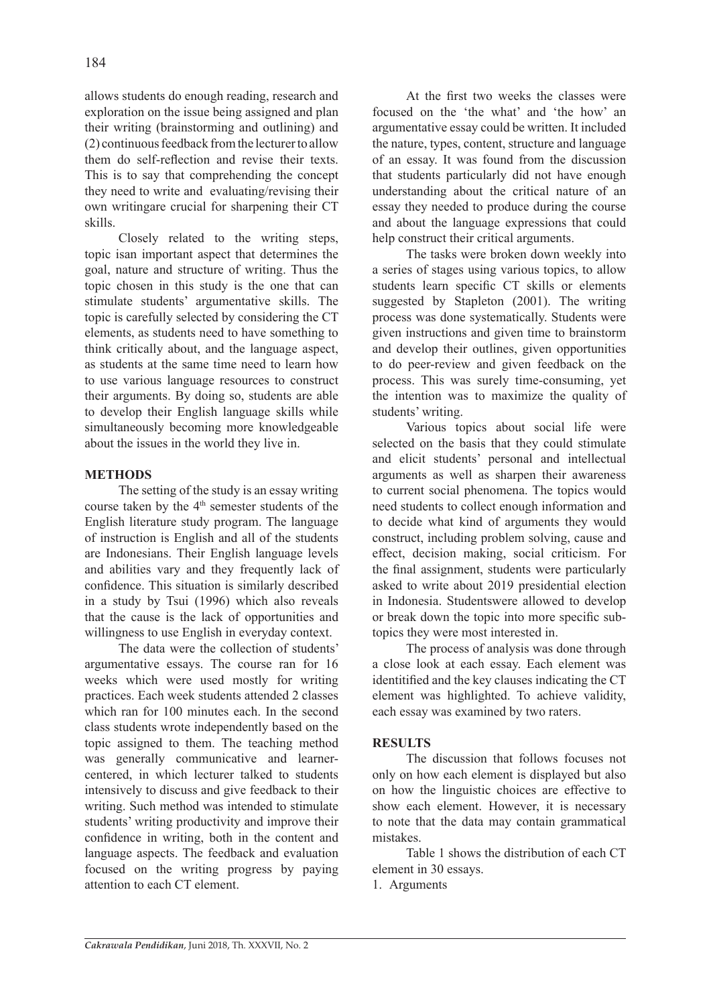allows students do enough reading, research and exploration on the issue being assigned and plan their writing (brainstorming and outlining) and (2) continuous feedback from the lecturer to allow them do self-reflection and revise their texts. This is to say that comprehending the concept they need to write and evaluating/revising their own writingare crucial for sharpening their CT skills.

Closely related to the writing steps, topic isan important aspect that determines the goal, nature and structure of writing. Thus the topic chosen in this study is the one that can stimulate students' argumentative skills. The topic is carefully selected by considering the CT elements, as students need to have something to think critically about, and the language aspect, as students at the same time need to learn how to use various language resources to construct their arguments. By doing so, students are able to develop their English language skills while simultaneously becoming more knowledgeable about the issues in the world they live in.

## **METHODS**

The setting of the study is an essay writing course taken by the  $4<sup>th</sup>$  semester students of the English literature study program. The language of instruction is English and all of the students are Indonesians. Their English language levels and abilities vary and they frequently lack of confidence. This situation is similarly described in a study by Tsui (1996) which also reveals that the cause is the lack of opportunities and willingness to use English in everyday context.

The data were the collection of students' argumentative essays. The course ran for 16 weeks which were used mostly for writing practices. Each week students attended 2 classes which ran for 100 minutes each. In the second class students wrote independently based on the topic assigned to them. The teaching method was generally communicative and learnercentered, in which lecturer talked to students intensively to discuss and give feedback to their writing. Such method was intended to stimulate students' writing productivity and improve their confidence in writing, both in the content and language aspects. The feedback and evaluation focused on the writing progress by paying attention to each CT element.

At the first two weeks the classes were focused on the 'the what' and 'the how' an argumentative essay could be written. It included the nature, types, content, structure and language of an essay. It was found from the discussion that students particularly did not have enough understanding about the critical nature of an essay they needed to produce during the course and about the language expressions that could help construct their critical arguments.

The tasks were broken down weekly into a series of stages using various topics, to allow students learn specific CT skills or elements suggested by Stapleton (2001). The writing process was done systematically. Students were given instructions and given time to brainstorm and develop their outlines, given opportunities to do peer-review and given feedback on the process. This was surely time-consuming, yet the intention was to maximize the quality of students' writing.

Various topics about social life were selected on the basis that they could stimulate and elicit students' personal and intellectual arguments as well as sharpen their awareness to current social phenomena. The topics would need students to collect enough information and to decide what kind of arguments they would construct, including problem solving, cause and effect, decision making, social criticism. For the final assignment, students were particularly asked to write about 2019 presidential election in Indonesia. Studentswere allowed to develop or break down the topic into more specific subtopics they were most interested in.

The process of analysis was done through a close look at each essay. Each element was identitified and the key clauses indicating the CT element was highlighted. To achieve validity, each essay was examined by two raters.

# **RESULTS**

The discussion that follows focuses not only on how each element is displayed but also on how the linguistic choices are effective to show each element. However, it is necessary to note that the data may contain grammatical mistakes.

Table 1 shows the distribution of each CT element in 30 essays.

1. Arguments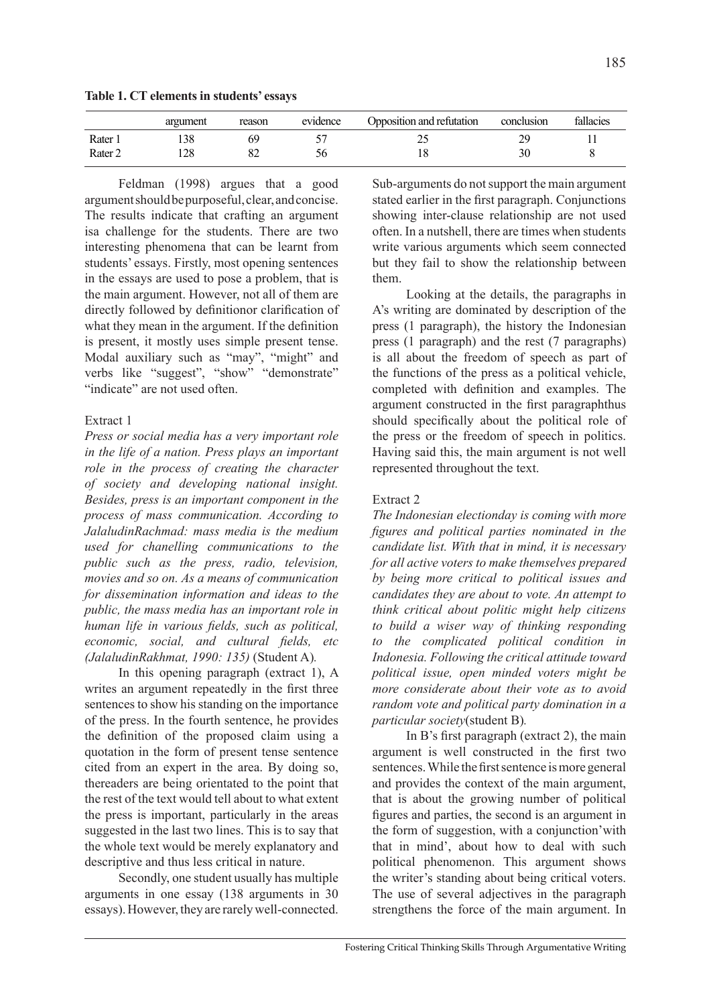**Table 1. CT elements in students' essays**

|                    | argument | reason | evidence | Opposition and refutation | conclusion                                   | fallacies |
|--------------------|----------|--------|----------|---------------------------|----------------------------------------------|-----------|
| Rater 1            | 138      | 69     |          | ت                         | $\gamma$ <sup><math>\alpha</math></sup><br>∸ |           |
| Rater <sub>2</sub> | 128      | ٥ź     | 56       | 10                        | 30                                           |           |

Feldman (1998) argues that a good argument should be purposeful, clear, and concise. The results indicate that crafting an argument isa challenge for the students. There are two interesting phenomena that can be learnt from students' essays. Firstly, most opening sentences in the essays are used to pose a problem, that is the main argument. However, not all of them are directly followed by definitionor clarification of what they mean in the argument. If the definition is present, it mostly uses simple present tense. Modal auxiliary such as "may", "might" and verbs like "suggest", "show" "demonstrate" "indicate" are not used often.

# Extract 1

*Press or social media has a very important role in the life of a nation. Press plays an important role in the process of creating the character of society and developing national insight. Besides, press is an important component in the process of mass communication. According to JalaludinRachmad: mass media is the medium used for chanelling communications to the public such as the press, radio, television, movies and so on. As a means of communication for dissemination information and ideas to the public, the mass media has an important role in human life in various fields, such as political, economic, social, and cultural fields, etc (JalaludinRakhmat, 1990: 135)* (Student A)*.*

In this opening paragraph (extract 1), A writes an argument repeatedly in the first three sentences to show his standing on the importance of the press. In the fourth sentence, he provides the definition of the proposed claim using a quotation in the form of present tense sentence cited from an expert in the area. By doing so, thereaders are being orientated to the point that the rest of the text would tell about to what extent the press is important, particularly in the areas suggested in the last two lines. This is to say that the whole text would be merely explanatory and descriptive and thus less critical in nature.

Secondly, one student usually has multiple arguments in one essay (138 arguments in 30 essays). However, they are rarely well-connected.

Sub-arguments do not support the main argument stated earlier in the first paragraph. Conjunctions showing inter-clause relationship are not used often. In a nutshell, there are times when students write various arguments which seem connected but they fail to show the relationship between them.

Looking at the details, the paragraphs in A's writing are dominated by description of the press (1 paragraph), the history the Indonesian press (1 paragraph) and the rest (7 paragraphs) is all about the freedom of speech as part of the functions of the press as a political vehicle, completed with definition and examples. The argument constructed in the first paragraphthus should specifically about the political role of the press or the freedom of speech in politics. Having said this, the main argument is not well represented throughout the text.

#### Extract 2

*The Indonesian electionday is coming with more figures and political parties nominated in the candidate list. With that in mind, it is necessary for all active voters to make themselves prepared by being more critical to political issues and candidates they are about to vote. An attempt to think critical about politic might help citizens to build a wiser way of thinking responding to the complicated political condition in Indonesia. Following the critical attitude toward political issue, open minded voters might be more considerate about their vote as to avoid random vote and political party domination in a particular society*(student B)*.*

In B's first paragraph (extract 2), the main argument is well constructed in the first two sentences. While the first sentence is more general and provides the context of the main argument, that is about the growing number of political figures and parties, the second is an argument in the form of suggestion, with a conjunction'with that in mind', about how to deal with such political phenomenon. This argument shows the writer's standing about being critical voters. The use of several adjectives in the paragraph strengthens the force of the main argument. In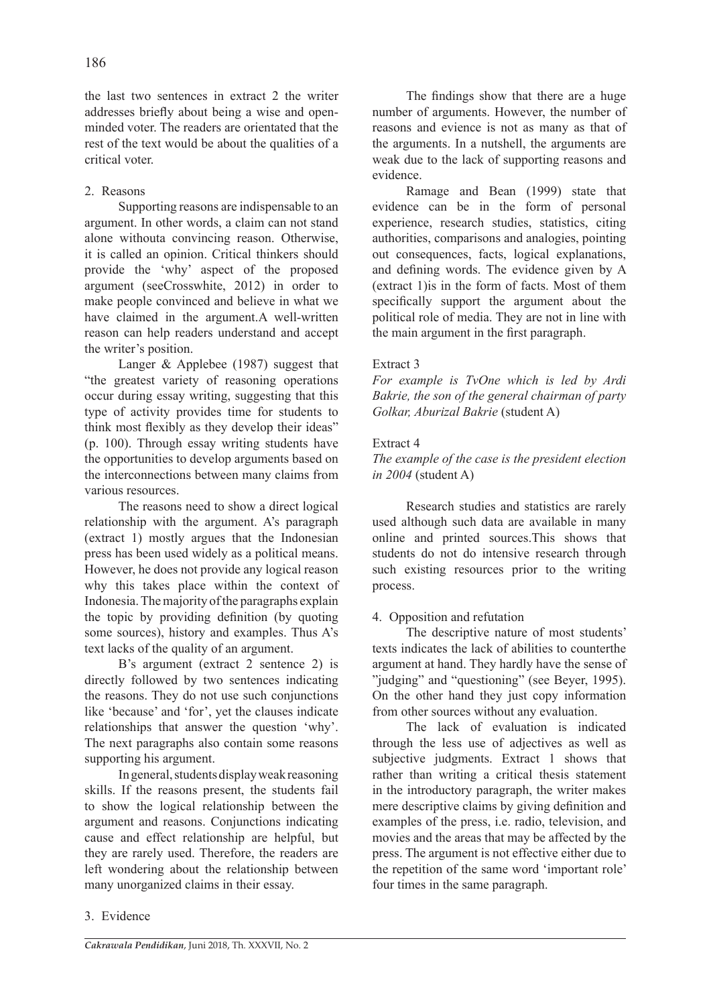the last two sentences in extract 2 the writer addresses briefly about being a wise and openminded voter. The readers are orientated that the rest of the text would be about the qualities of a critical voter.

## 2. Reasons

Supporting reasons are indispensable to an argument. In other words, a claim can not stand alone withouta convincing reason. Otherwise, it is called an opinion. Critical thinkers should provide the 'why' aspect of the proposed argument (seeCrosswhite, 2012) in order to make people convinced and believe in what we have claimed in the argument.A well-written reason can help readers understand and accept the writer's position.

Langer & Applebee (1987) suggest that "the greatest variety of reasoning operations occur during essay writing, suggesting that this type of activity provides time for students to think most flexibly as they develop their ideas" (p. 100). Through essay writing students have the opportunities to develop arguments based on the interconnections between many claims from various resources.

The reasons need to show a direct logical relationship with the argument. A's paragraph (extract 1) mostly argues that the Indonesian press has been used widely as a political means. However, he does not provide any logical reason why this takes place within the context of Indonesia. The majority of the paragraphs explain the topic by providing definition (by quoting some sources), history and examples. Thus A's text lacks of the quality of an argument.

B's argument (extract 2 sentence 2) is directly followed by two sentences indicating the reasons. They do not use such conjunctions like 'because' and 'for', yet the clauses indicate relationships that answer the question 'why'. The next paragraphs also contain some reasons supporting his argument.

In general, students display weak reasoning skills. If the reasons present, the students fail to show the logical relationship between the argument and reasons. Conjunctions indicating cause and effect relationship are helpful, but they are rarely used. Therefore, the readers are left wondering about the relationship between many unorganized claims in their essay.

The findings show that there are a huge number of arguments. However, the number of reasons and evience is not as many as that of the arguments. In a nutshell, the arguments are weak due to the lack of supporting reasons and evidence.

Ramage and Bean (1999) state that evidence can be in the form of personal experience, research studies, statistics, citing authorities, comparisons and analogies, pointing out consequences, facts, logical explanations, and defining words. The evidence given by A (extract 1)is in the form of facts. Most of them specifically support the argument about the political role of media. They are not in line with the main argument in the first paragraph.

## Extract 3

*For example is TvOne which is led by Ardi Bakrie, the son of the general chairman of party Golkar, Aburizal Bakrie* (student A)

## Extract 4

## *The example of the case is the president election in 2004* (student A)

Research studies and statistics are rarely used although such data are available in many online and printed sources.This shows that students do not do intensive research through such existing resources prior to the writing process.

## 4. Opposition and refutation

The descriptive nature of most students' texts indicates the lack of abilities to counterthe argument at hand. They hardly have the sense of "judging" and "questioning" (see Beyer, 1995). On the other hand they just copy information from other sources without any evaluation.

The lack of evaluation is indicated through the less use of adjectives as well as subjective judgments. Extract 1 shows that rather than writing a critical thesis statement in the introductory paragraph, the writer makes mere descriptive claims by giving definition and examples of the press, i.e. radio, television, and movies and the areas that may be affected by the press. The argument is not effective either due to the repetition of the same word 'important role' four times in the same paragraph.

#### 3. Evidence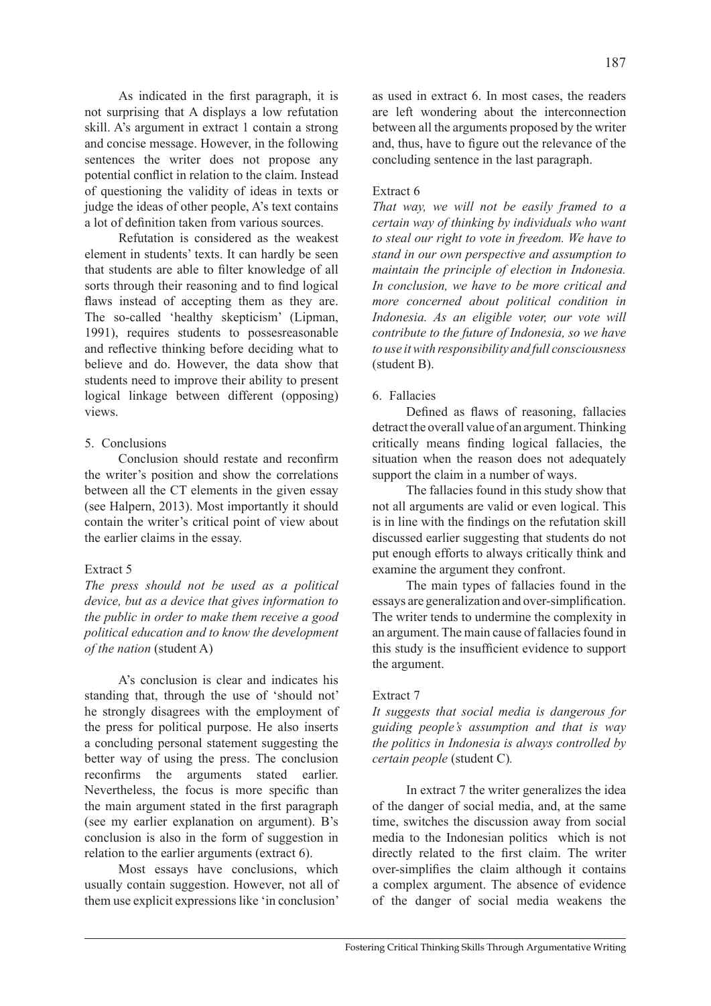As indicated in the first paragraph, it is not surprising that A displays a low refutation skill. A's argument in extract 1 contain a strong and concise message. However, in the following sentences the writer does not propose any potential conflict in relation to the claim. Instead of questioning the validity of ideas in texts or judge the ideas of other people, A's text contains a lot of definition taken from various sources.

Refutation is considered as the weakest element in students' texts. It can hardly be seen that students are able to filter knowledge of all sorts through their reasoning and to find logical flaws instead of accepting them as they are. The so-called 'healthy skepticism' (Lipman, 1991), requires students to possesreasonable and reflective thinking before deciding what to believe and do. However, the data show that students need to improve their ability to present logical linkage between different (opposing) views.

#### 5. Conclusions

Conclusion should restate and reconfirm the writer's position and show the correlations between all the CT elements in the given essay (see Halpern, 2013). Most importantly it should contain the writer's critical point of view about the earlier claims in the essay.

## Extract 5

*The press should not be used as a political device, but as a device that gives information to the public in order to make them receive a good political education and to know the development of the nation* (student A)

A's conclusion is clear and indicates his standing that, through the use of 'should not' he strongly disagrees with the employment of the press for political purpose. He also inserts a concluding personal statement suggesting the better way of using the press. The conclusion reconfirms the arguments stated earlier. Nevertheless, the focus is more specific than the main argument stated in the first paragraph (see my earlier explanation on argument). B's conclusion is also in the form of suggestion in relation to the earlier arguments (extract 6).

Most essays have conclusions, which usually contain suggestion. However, not all of them use explicit expressions like 'in conclusion' as used in extract 6. In most cases, the readers are left wondering about the interconnection between all the arguments proposed by the writer and, thus, have to figure out the relevance of the concluding sentence in the last paragraph.

## Extract 6

*That way, we will not be easily framed to a certain way of thinking by individuals who want to steal our right to vote in freedom. We have to stand in our own perspective and assumption to maintain the principle of election in Indonesia. In conclusion, we have to be more critical and more concerned about political condition in Indonesia. As an eligible voter, our vote will contribute to the future of Indonesia, so we have to use it with responsibility and full consciousness*  (student B).

## 6. Fallacies

Defined as flaws of reasoning, fallacies detract the overall value of an argument. Thinking critically means finding logical fallacies, the situation when the reason does not adequately support the claim in a number of ways.

The fallacies found in this study show that not all arguments are valid or even logical. This is in line with the findings on the refutation skill discussed earlier suggesting that students do not put enough efforts to always critically think and examine the argument they confront.

The main types of fallacies found in the essays are generalization and over-simplification. The writer tends to undermine the complexity in an argument. The main cause of fallacies found in this study is the insufficient evidence to support the argument.

## Extract 7

*It suggests that social media is dangerous for guiding people's assumption and that is way the politics in Indonesia is always controlled by certain people* (student C)*.*

In extract 7 the writer generalizes the idea of the danger of social media, and, at the same time, switches the discussion away from social media to the Indonesian politics which is not directly related to the first claim. The writer over-simplifies the claim although it contains a complex argument. The absence of evidence of the danger of social media weakens the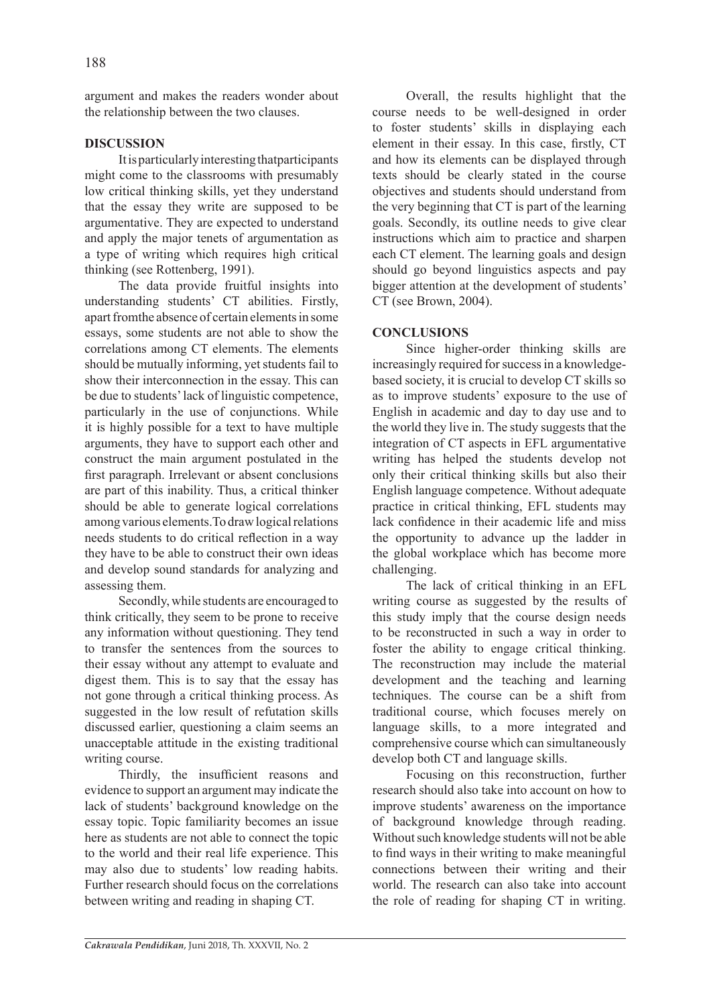argument and makes the readers wonder about the relationship between the two clauses.

## **DISCUSSION**

It is particularly interesting thatparticipants might come to the classrooms with presumably low critical thinking skills, yet they understand that the essay they write are supposed to be argumentative. They are expected to understand and apply the major tenets of argumentation as a type of writing which requires high critical thinking (see Rottenberg, 1991).

The data provide fruitful insights into understanding students' CT abilities. Firstly, apart fromthe absence of certain elements in some essays, some students are not able to show the correlations among CT elements. The elements should be mutually informing, yet students fail to show their interconnection in the essay. This can be due to students' lack of linguistic competence, particularly in the use of conjunctions. While it is highly possible for a text to have multiple arguments, they have to support each other and construct the main argument postulated in the first paragraph. Irrelevant or absent conclusions are part of this inability. Thus, a critical thinker should be able to generate logical correlations among various elements.To draw logical relations needs students to do critical reflection in a way they have to be able to construct their own ideas and develop sound standards for analyzing and assessing them.

Secondly, while students are encouraged to think critically, they seem to be prone to receive any information without questioning. They tend to transfer the sentences from the sources to their essay without any attempt to evaluate and digest them. This is to say that the essay has not gone through a critical thinking process. As suggested in the low result of refutation skills discussed earlier, questioning a claim seems an unacceptable attitude in the existing traditional writing course.

Thirdly, the insufficient reasons and evidence to support an argument may indicate the lack of students' background knowledge on the essay topic. Topic familiarity becomes an issue here as students are not able to connect the topic to the world and their real life experience. This may also due to students' low reading habits. Further research should focus on the correlations between writing and reading in shaping CT.

Overall, the results highlight that the course needs to be well-designed in order to foster students' skills in displaying each element in their essay. In this case, firstly, CT and how its elements can be displayed through texts should be clearly stated in the course objectives and students should understand from the very beginning that CT is part of the learning goals. Secondly, its outline needs to give clear instructions which aim to practice and sharpen each CT element. The learning goals and design should go beyond linguistics aspects and pay bigger attention at the development of students' CT (see Brown, 2004).

# **CONCLUSIONS**

Since higher-order thinking skills are increasingly required for success in a knowledgebased society, it is crucial to develop CT skills so as to improve students' exposure to the use of English in academic and day to day use and to the world they live in. The study suggests that the integration of CT aspects in EFL argumentative writing has helped the students develop not only their critical thinking skills but also their English language competence. Without adequate practice in critical thinking, EFL students may lack confidence in their academic life and miss the opportunity to advance up the ladder in the global workplace which has become more challenging.

The lack of critical thinking in an EFL writing course as suggested by the results of this study imply that the course design needs to be reconstructed in such a way in order to foster the ability to engage critical thinking. The reconstruction may include the material development and the teaching and learning techniques. The course can be a shift from traditional course, which focuses merely on language skills, to a more integrated and comprehensive course which can simultaneously develop both CT and language skills.

Focusing on this reconstruction, further research should also take into account on how to improve students' awareness on the importance of background knowledge through reading. Without such knowledge students will not be able to find ways in their writing to make meaningful connections between their writing and their world. The research can also take into account the role of reading for shaping CT in writing.